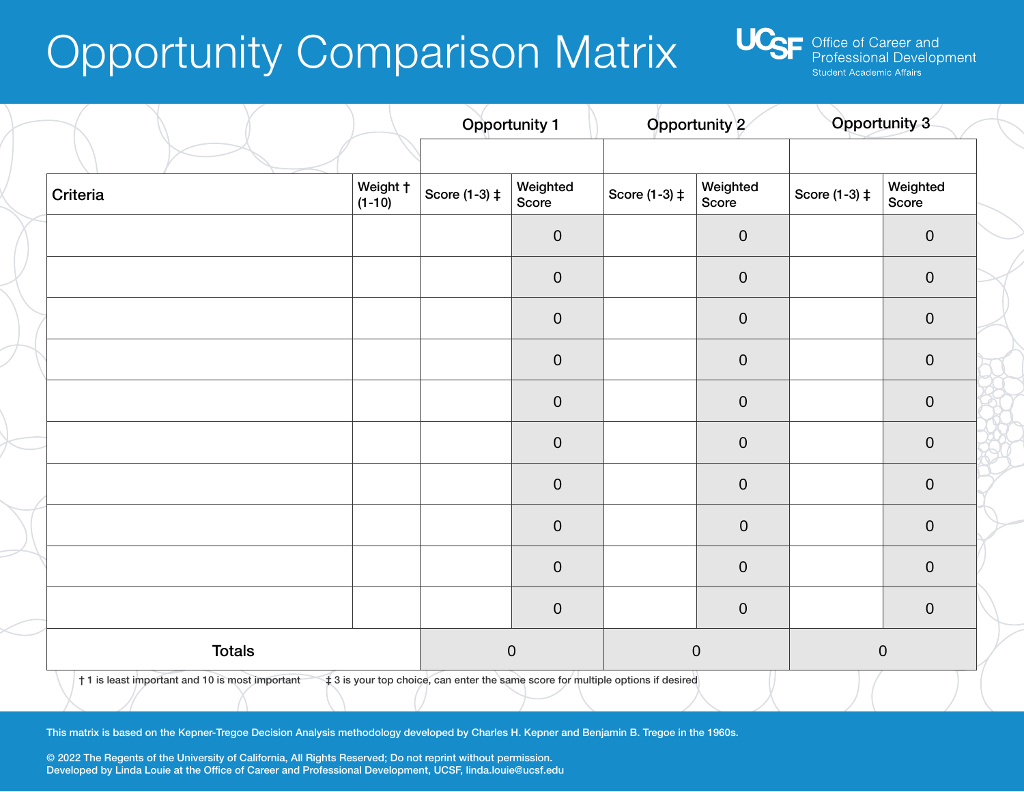## Opportunity Comparison Matrix



|               |                      | <b>Opportunity 1</b> |                   | Opportunity 2 |                   | Opportunity 3 |                   |
|---------------|----------------------|----------------------|-------------------|---------------|-------------------|---------------|-------------------|
| Criteria      | Weight †<br>$(1-10)$ | Score (1-3) ‡        | Weighted<br>Score | Score (1-3) ‡ | Weighted<br>Score | Score (1-3) ‡ | Weighted<br>Score |
|               |                      |                      | $\pmb{0}$         |               | $\boldsymbol{0}$  |               | $\pmb{0}$         |
|               |                      |                      | $\pmb{0}$         |               | $\boldsymbol{0}$  |               | $\pmb{0}$         |
|               |                      |                      | $\pmb{0}$         |               | $\pmb{0}$         |               | $\boldsymbol{0}$  |
|               |                      |                      | $\pmb{0}$         |               | $\pmb{0}$         |               | $\pmb{0}$         |
|               |                      |                      | $\pmb{0}$         |               | $\mathbf 0$       |               | $\boldsymbol{0}$  |
|               |                      |                      | $\pmb{0}$         |               | $\mathbf 0$       |               | $\pmb{0}$         |
|               |                      |                      | $\pmb{0}$         |               | $\mathbf 0$       |               | $\pmb{0}$         |
|               |                      |                      | $\pmb{0}$         |               | $\boldsymbol{0}$  |               | $\pmb{0}$         |
|               |                      |                      | $\pmb{0}$         |               | $\boldsymbol{0}$  |               | $\boldsymbol{0}$  |
|               |                      |                      | $\pmb{0}$         |               | $\pmb{0}$         |               | $\pmb{0}$         |
| <b>Totals</b> |                      |                      | $\pmb{0}$         | $\pmb{0}$     |                   | $\pmb{0}$     |                   |

This matrix is based on the Kepner-Tregoe Decision Analysis methodology developed by Charles H. Kepner and Benjamin B. Tregoe in the 1960s.

© 2022 The Regents of the University of California, All Rights Reserved; Do not reprint without permission. Developed by Linda Louie at the Office of Career and Professional Development, UCSF, linda.louie@ucsf.edu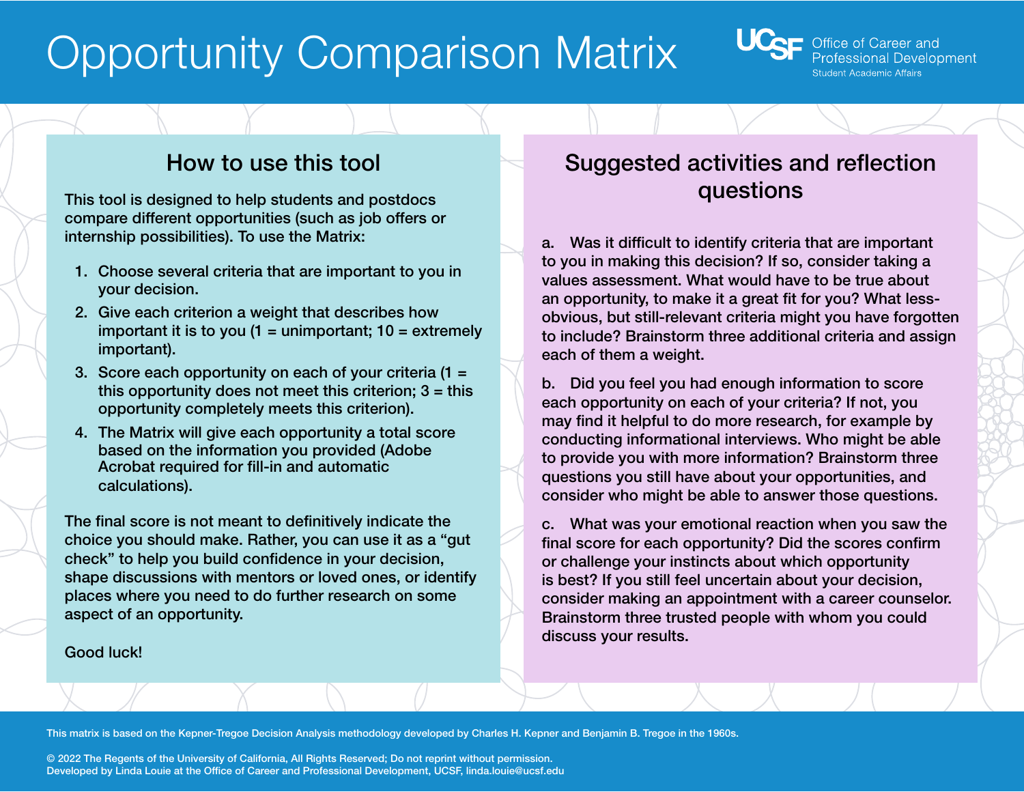# Opportunity Comparison Matrix



### How to use this tool

This tool is designed to help students and postdocs compare different opportunities (such as job offers or internship possibilities). To use the Matrix:

- 1. Choose several criteria that are important to you in your decision.
- 2. Give each criterion a weight that describes how important it is to you  $(1 =$  unimportant;  $10 =$  extremely important).
- 3. Score each opportunity on each of your criteria (1 = this opportunity does not meet this criterion;  $3 =$  this opportunity completely meets this criterion).
- 4. The Matrix will give each opportunity a total score based on the information you provided (Adobe Acrobat required for fill-in and automatic calculations).

The final score is not meant to definitively indicate the choice you should make. Rather, you can use it as a "gut check" to help you build confidence in your decision, shape discussions with mentors or loved ones, or identify places where you need to do further research on some aspect of an opportunity.

#### Good luck!

### Suggested activities and reflection questions

a. Was it difficult to identify criteria that are important to you in making this decision? If so, consider taking a values assessment. What would have to be true about an opportunity, to make it a great fit for you? What lessobvious, but still-relevant criteria might you have forgotten to include? Brainstorm three additional criteria and assign each of them a weight.

b. Did you feel you had enough information to score each opportunity on each of your criteria? If not, you may find it helpful to do more research, for example by conducting informational interviews. Who might be able to provide you with more information? Brainstorm three questions you still have about your opportunities, and consider who might be able to answer those questions.

c. What was your emotional reaction when you saw the final score for each opportunity? Did the scores confirm or challenge your instincts about which opportunity is best? If you still feel uncertain about your decision, consider making an appointment with a career counselor. Brainstorm three trusted people with whom you could discuss your results.

This matrix is based on the Kepner-Tregoe Decision Analysis methodology developed by Charles H. Kepner and Benjamin B. Tregoe in the 1960s.

© 2022 The Regents of the University of California, All Rights Reserved; Do not reprint without permission. Developed by Linda Louie at the Office of Career and Professional Development, UCSF, linda.louie@ucsf.edu